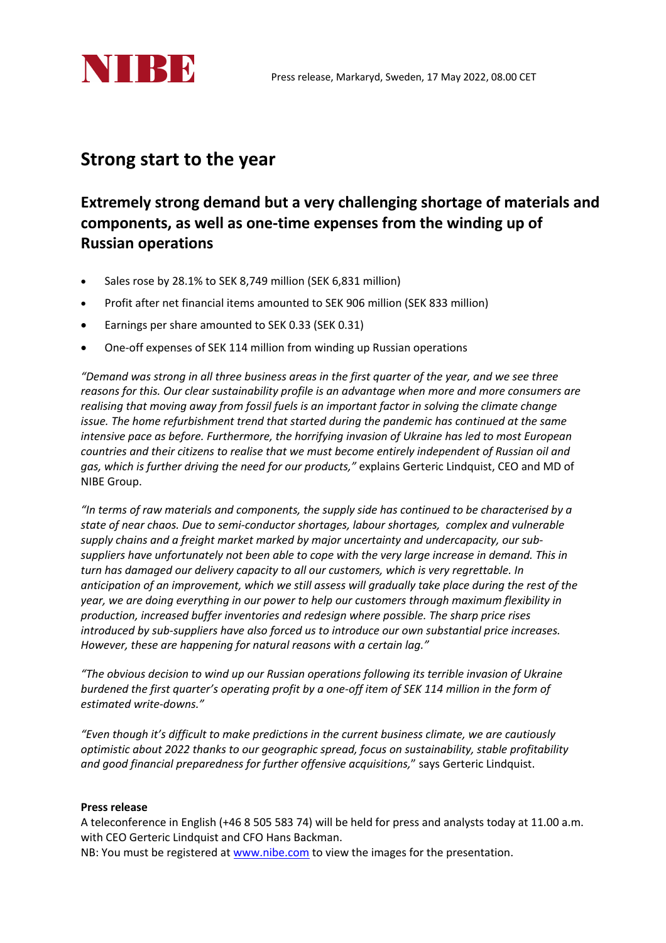

## **Strong start to the year**

## **Extremely strong demand but a very challenging shortage of materials and components, as well as one-time expenses from the winding up of Russian operations**

- Sales rose by 28.1% to SEK 8,749 million (SEK 6,831 million)
- Profit after net financial items amounted to SEK 906 million (SEK 833 million)
- Earnings per share amounted to SEK 0.33 (SEK 0.31)
- One-off expenses of SEK 114 million from winding up Russian operations

*"Demand was strong in all three business areas in the first quarter of the year, and we see three reasons for this. Our clear sustainability profile is an advantage when more and more consumers are realising that moving away from fossil fuels is an important factor in solving the climate change issue. The home refurbishment trend that started during the pandemic has continued at the same intensive pace as before. Furthermore, the horrifying invasion of Ukraine has led to most European countries and their citizens to realise that we must become entirely independent of Russian oil and gas, which is further driving the need for our products,"* explains Gerteric Lindquist, CEO and MD of NIBE Group.

*"In terms of raw materials and components, the supply side has continued to be characterised by a state of near chaos. Due to semi-conductor shortages, labour shortages, complex and vulnerable supply chains and a freight market marked by major uncertainty and undercapacity, our subsuppliers have unfortunately not been able to cope with the very large increase in demand. This in turn has damaged our delivery capacity to all our customers, which is very regrettable. In anticipation of an improvement, which we still assess will gradually take place during the rest of the year, we are doing everything in our power to help our customers through maximum flexibility in production, increased buffer inventories and redesign where possible. The sharp price rises introduced by sub-suppliers have also forced us to introduce our own substantial price increases. However, these are happening for natural reasons with a certain lag."*

*"The obvious decision to wind up our Russian operations following its terrible invasion of Ukraine burdened the first quarter's operating profit by a one-off item of SEK 114 million in the form of estimated write-downs."*

*"Even though it's difficult to make predictions in the current business climate, we are cautiously optimistic about 2022 thanks to our geographic spread, focus on sustainability, stable profitability and good financial preparedness for further offensive acquisitions,*" says Gerteric Lindquist.

## **Press release**

A teleconference in English (+46 8 505 583 74) will be held for press and analysts today at 11.00 a.m. with CEO Gerteric Lindquist and CFO Hans Backman.

NB: You must be registered at www.nibe.com to view the images for the presentation.